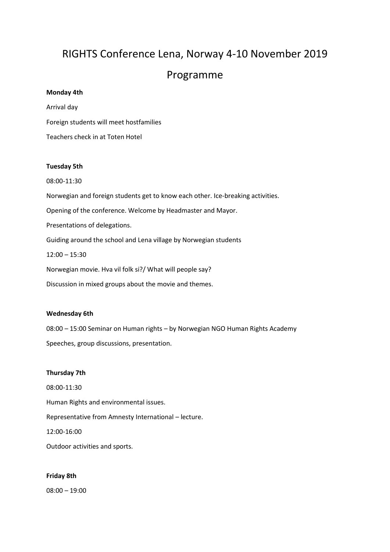# RIGHTS Conference Lena, Norway 4-10 November 2019

# Programme

# **Monday 4th**

Arrival day Foreign students will meet hostfamilies Teachers check in at Toten Hotel

# **Tuesday 5th**

08:00-11:30 Norwegian and foreign students get to know each other. Ice-breaking activities. Opening of the conference. Welcome by Headmaster and Mayor. Presentations of delegations. Guiding around the school and Lena village by Norwegian students 12:00 – 15:30 Norwegian movie. Hva vil folk si?/ What will people say? Discussion in mixed groups about the movie and themes.

# **Wednesday 6th**

08:00 – 15:00 Seminar on Human rights – by Norwegian NGO Human Rights Academy Speeches, group discussions, presentation.

# **Thursday 7th**

08:00-11:30 Human Rights and environmental issues. Representative from Amnesty International – lecture. 12:00-16:00 Outdoor activities and sports.

# **Friday 8th**

08:00 – 19:00